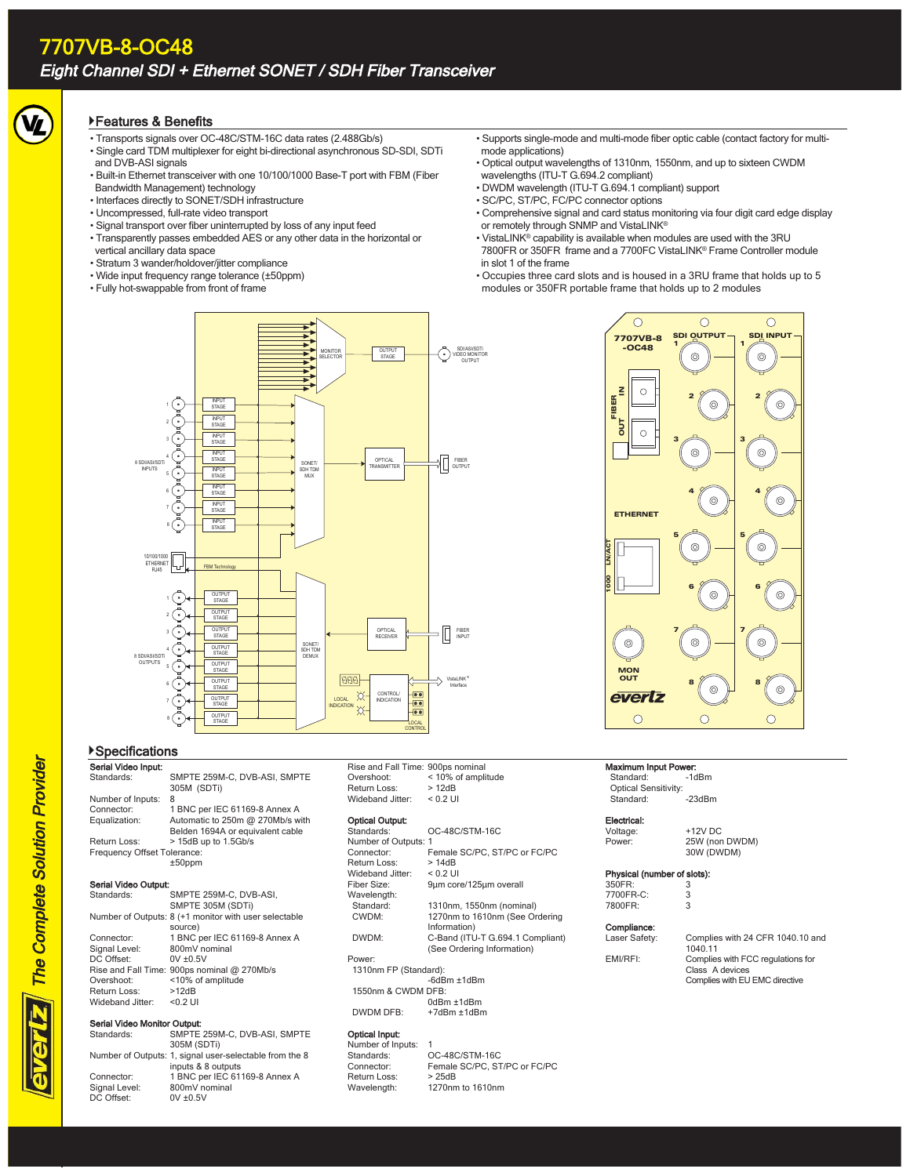#### Features & Benefits

- Transports signals over OC-48C/STM-16C data rates (2.488Gb/s)
- Single card TDM multiplexer for eight bi-directional asynchronous SD-SDI, SDTi and DVB-ASI signals
- Built-in Ethernet transceiver with one 10/100/1000 Base-T port with FBM (Fiber Bandwidth Management) technology
- Interfaces directly to SONET/SDH infrastructure
- Uncompressed, full-rate video transport
- Signal transport over fiber uninterrupted by loss of any input feed
- Transparently passes embedded AES or any other data in the horizontal or
- vertical ancillary data space
- Stratum 3 wander/holdover/jitter compliance
- Wide input frequency range tolerance (±50ppm)
- Fully hot-swappable from front of frame
- Supports single-mode and multi-mode fiber optic cable (contact factory for multimode applications)
- Optical output wavelengths of 1310nm, 1550nm, and up to sixteen CWDM wavelengths (ITU-T G.694.2 compliant)
- DWDM wavelength (ITU-T G.694.1 compliant) support
- SC/PC, ST/PC, FC/PC connector options
- Comprehensive signal and card status monitoring via four digit card edge display or remotely through SNMP and VistaLINK®
- VistaLINK® capability is available when modules are used with the 3RU 7800FR or 350FR frame and a 7700FC VistaLINK® Frame Controller module in slot 1 of the frame
- Occupies three card slots and is housed in a 3RU frame that holds up to 5 modules or 350FR portable frame that holds up to 2 modules

**SDI OUTPU** 

 $\odot$ 

 $\circ$ 

SDI INPUT 1

 $\overline{O}$ 

2

 $\circledcirc$ 

 $\odot$ 

 $\circledcirc$ 

 $\circledcirc$ 

 $\subset$ 

 $^{\circ}$ 

4

 $\circledcirc$ 

 $\circledcirc$ 

3

5

2

 $\odot$ 

 $\circledcirc$ 

4

 $\odot$ 

 $\odot$ 

1

3

5

7707VB-8 -OC48

 $\circ$ 

 $\circ$ 

 $\circ$ 

FIBER 2

OUT

ETHERNET

LN/ACT

1000





# Serial Video Input:

Nur<br>Cor<br>Equ

| Serial Video Input:         |                                  |
|-----------------------------|----------------------------------|
| Standards:                  | SMPTE 259M-C, DVB-ASI, SMPTE     |
|                             | 305M (SDTi)                      |
| Number of Inputs:           | 8                                |
| Connector:                  | 1 BNC per IEC 61169-8 Annex A    |
| Equalization:               | Automatic to 250m @ 270Mb/s with |
|                             | Belden 1694A or equivalent cable |
| Return Loss:                | > 15dB up to 1.5Gb/s             |
| Frequency Offset Tolerance: |                                  |
|                             | $±50$ ppm                        |

#### Serial Video Output:

| Standards:       | SMPTE 259M-C. DVB-ASI.                                |
|------------------|-------------------------------------------------------|
|                  | SMPTE 305M (SDTi)                                     |
|                  | Number of Outputs: 8 (+1 monitor with user selectable |
|                  | source)                                               |
| Connector:       | 1 BNC per IEC 61169-8 Annex A                         |
| Signal Level:    | 800mV nominal                                         |
| DC Offset:       | $0V \pm 0.5V$                                         |
|                  | Rise and Fall Time: 900ps nominal @ 270Mb/s           |
| Overshoot:       | <10% of amplitude                                     |
| Return Loss:     | >12dB                                                 |
| Wideband Jitter: | $< 0.2$ UI                                            |
|                  |                                                       |

#### Serial Video Monitor Output: Standards:

Number of Out

Connector: Signal Level: DC Offset:

| SMPTE 259M-C, DVB-ASI, SMPTE                |
|---------------------------------------------|
| 305M (SDTi)                                 |
| tputs: 1, signal user-selectable from the 8 |
| inputs & 8 outputs                          |
| 1 BNC per IEC 61169-8 Annex A               |
| 800mV nominal                               |
| $0V \pm 0.5V$                               |
|                                             |

| Rise and Fall Time: 900ps nominal |                    |
|-----------------------------------|--------------------|
| Overshoot:                        | < 10% of amplitude |
| Return Loss:                      | >12dB              |
| Wideband Jitter:                  | $< 0.2$ UI         |

### **Optical Output:**<br>Standards:

| Standards:            | OC-48C/STM-16C                   |  |
|-----------------------|----------------------------------|--|
| Number of Outputs: 1  |                                  |  |
| Connector:            | Female SC/PC, ST/PC or FC/PC     |  |
| Return Loss:          | >14dB                            |  |
| Wideband Jitter:      | $< 0.2$ UI                       |  |
| Fiber Size:           | 9um core/125um overall           |  |
| Wavelength:           |                                  |  |
| Standard:             | 1310nm, 1550nm (nominal)         |  |
| CWDM:                 | 1270nm to 1610nm (See Ordering   |  |
|                       | Information)                     |  |
| DWDM:                 | C-Band (ITU-T G.694.1 Compliant) |  |
|                       | (See Ordering Information)       |  |
| Power:                |                                  |  |
| 1310nm FP (Standard): |                                  |  |
|                       | $-6d$ Bm $\pm$ 1 $d$ Bm          |  |
| 1550nm & CWDM DFB:    |                                  |  |
|                       | $0$ d $Bm \pm 1$ d $Bm$          |  |
| DWDM DFR <sup>.</sup> | $+7$ d $Rm + 1$ d $Rm$           |  |

#### **Optical Input:**<br>Number of Inr

| Number of Inputs: |                              |
|-------------------|------------------------------|
| Standards:        | OC-48C/STM-16C               |
| Connector:        | Female SC/PC, ST/PC or FC/PC |
| Return Loss:      | >25dB                        |
| Wavelength:       | 1270nm to 1610nm             |
|                   |                              |

| 3                           | 6      | 6      |
|-----------------------------|--------|--------|
| õ                           | 7      | 7<br>ō |
| <b>MON</b><br>OUT<br>evertz | 8<br>ĉ | 8      |
|                             |        |        |

### Maximum Input Power:<br>Standard: -1dBm

Standard: Optical Sensitivity:  $-23$ dBm

Electrical:<br>Voltage: Voltage: +12V DC<br>Power: +12V DC

# Power: 25W (non DWDM) 30W (DWDM)

### **Physical (number of slots):**<br>350ER: 3

| $350FR$ : | 3 |
|-----------|---|
| 7700FR-C: | 3 |
| 7800FR:   | 3 |

Comp

| Compliance:   |                                                                                        |
|---------------|----------------------------------------------------------------------------------------|
| Laser Safety: | Complies with 24 CFR 1040.10 and<br>1040.11                                            |
| EMI/RFI:      | Complies with FCC regulations for<br>Class A devices<br>Complies with EU EMC directive |